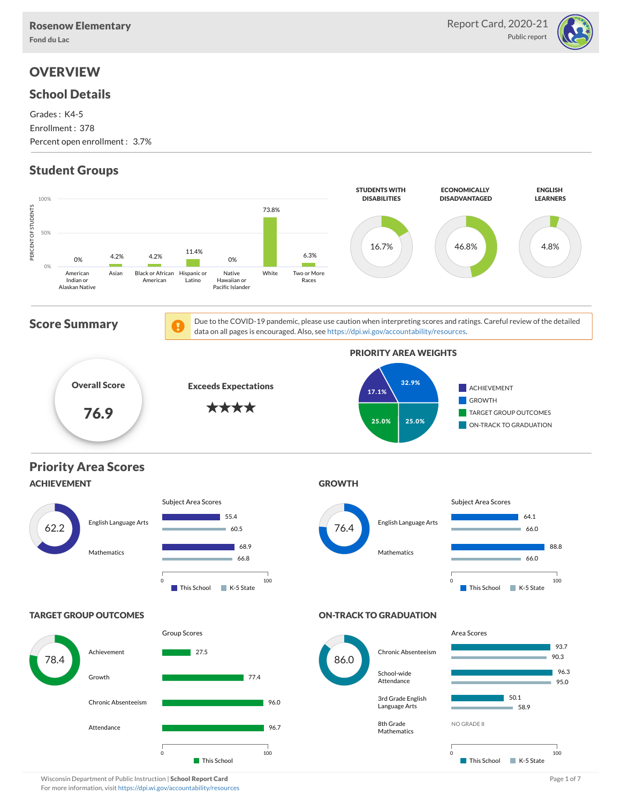

# **OVERVIEW**

### School Details

Grades : K4-5 Enrollment : 378 Percent open enrollment : 3.7%

# Student Groups



Wisconsin Department of Public Instruction | School Report Card Page 1 of 7 and 2008 and 2008 and Page 1 of 7 For more information, visit <https://dpi.wi.gov/accountability/resources>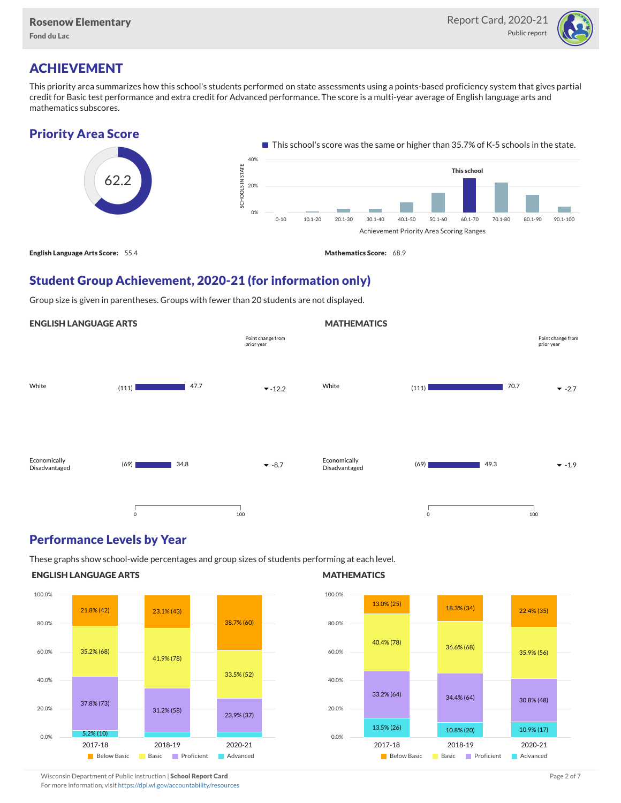

## ACHIEVEMENT

This priority area summarizes how this school's students performed on state assessments using a points-based proficiency system that gives partial credit for Basic test performance and extra credit for Advanced performance. The score is a multi-year average of English language arts and mathematics subscores.

### Priority Area Score



### Student Group Achievement, 2020-21 (for information only)

Group size is given in parentheses. Groups with fewer than 20 students are not displayed.

#### ENGLISH LANGUAGE ARTS White  $(111)$   $47.7$   $\bullet$  -12.2 Economically Disadvantaged  $(69)$  34.8  $\bullet$  -8.7 47.7 34.8 0 100 Point change from prior year **MATHEMATICS** White  $(111)$   $70.7$   $\bullet$  -2.7 Economically Disadvantaged  $(69)$   $\bullet$  -1.9 70.7 49.3 0 100 Point change from prior year

### Performance Levels by Year

These graphs show school-wide percentages and group sizes of students performing at each level.

#### ENGLISH LANGUAGE ARTS



#### **MATHEMATICS**



Wisconsin Department of Public Instruction | School Report Card Page 2 of 7 and 2008 and 2009 and 2 of 7 and 2 of 7

For more information, visit <https://dpi.wi.gov/accountability/resources>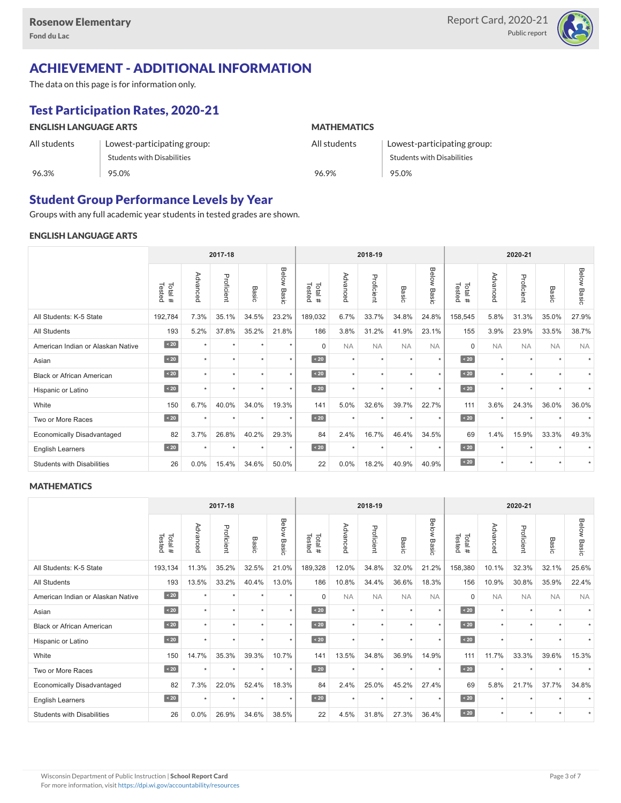

## ACHIEVEMENT - ADDITIONAL INFORMATION

The data on this page is for information only.

# Test Participation Rates, 2020-21

| <b>ENGLISH LANGUAGE ARTS</b> |                             | <b>MATHEMATICS</b> |                             |  |  |  |  |
|------------------------------|-----------------------------|--------------------|-----------------------------|--|--|--|--|
| All students                 | Lowest-participating group: | All students       | Lowest-participating group: |  |  |  |  |
|                              | Students with Disabilities  |                    | Students with Disabilities  |  |  |  |  |
| 96.3%                        | 95.0%                       | 96.9%              | 95.0%                       |  |  |  |  |

### Student Group Performance Levels by Year

Groups with any full academic year students in tested grades are shown.

### ENGLISH LANGUAGE ARTS

|                                   | 2017-18          |          |            |         |                    |                  | 2018-19   |            |           |                | 2020-21          |           |            |                      |                    |
|-----------------------------------|------------------|----------|------------|---------|--------------------|------------------|-----------|------------|-----------|----------------|------------------|-----------|------------|----------------------|--------------------|
|                                   | Total#<br>Tested | Advanced | Proficient | Basic   | <b>Below Basic</b> | Tested<br>Total# | Advanced  | Proficient | Basic     | Below<br>Basic | Tested<br>Total# | Advanced  | Proficient | Basic                | <b>Below Basic</b> |
| All Students: K-5 State           | 192,784          | 7.3%     | 35.1%      | 34.5%   | 23.2%              | 189,032          | 6.7%      | 33.7%      | 34.8%     | 24.8%          | 158,545          | 5.8%      | 31.3%      | 35.0%                | 27.9%              |
| <b>All Students</b>               | 193              | 5.2%     | 37.8%      | 35.2%   | 21.8%              | 186              | 3.8%      | 31.2%      | 41.9%     | 23.1%          | 155              | 3.9%      | 23.9%      | 33.5%                | 38.7%              |
| American Indian or Alaskan Native | $\angle 20$      | $\star$  | $\star$    | ٠       | $\star$            | $\Omega$         | <b>NA</b> | <b>NA</b>  | <b>NA</b> | <b>NA</b>      | $\Omega$         | <b>NA</b> | <b>NA</b>  | <b>NA</b>            | <b>NA</b>          |
| Asian                             | $\sim 20$        | $\star$  | $\star$    | ٠       | $\star$            | $\sim 20$        | $\star$   | $\star$    | $\star$   | $\star$        | $\sim 20$        | $\star$   | $\star$    | $\ddot{}$            |                    |
| <b>Black or African American</b>  | $\sim 20$        |          | $\star$    |         | $\star$            | $\sim 20$        | $\star$   | $\star$    |           | $\star$        | $\sim 20$        | $\star$   | $\star$    |                      |                    |
| Hispanic or Latino                | $\angle 20$      | ٠        | $\star$    | ٠       | $\star$            | $\angle 20$      | $\star$   | $\star$    | $\star$   | $\star$        | $\angle 20$      | $\star$   | $\star$    | $\ddot{\phantom{1}}$ |                    |
| White                             | 150              | 6.7%     | 40.0%      | 34.0%   | 19.3%              | 141              | 5.0%      | 32.6%      | 39.7%     | 22.7%          | 111              | 3.6%      | 24.3%      | 36.0%                | 36.0%              |
| Two or More Races                 | $\sim 20$        |          | $\star$    | $\star$ | $\star$            | $\sim 20$        | $\star$   | $\star$    |           | $\star$        | $\sim 20$        | $\star$   | $\star$    |                      |                    |
| <b>Economically Disadvantaged</b> | 82               | 3.7%     | 26.8%      | 40.2%   | 29.3%              | 84               | 2.4%      | 16.7%      | 46.4%     | 34.5%          | 69               | 1.4%      | 15.9%      | 33.3%                | 49.3%              |
| <b>English Learners</b>           | $\sim 20$        | $\star$  | $\star$    | $\star$ | $\star$            | $\angle 20$      | $\star$   | $\star$    | $\star$   | $\star$        | $\sim 20$        | $\star$   | $\star$    |                      |                    |
| <b>Students with Disabilities</b> | 26               | $0.0\%$  | 15.4%      | 34.6%   | 50.0%              | 22               | 0.0%      | 18.2%      | 40.9%     | 40.9%          | $\angle 20$      | $\star$   | $\star$    | $\star$              |                    |

#### **MATHEMATICS**

|                                   | 2017-18          |          |            |         |                |                  | 2018-19              |            |           |                | 2020-21          |           |            |                      |                |
|-----------------------------------|------------------|----------|------------|---------|----------------|------------------|----------------------|------------|-----------|----------------|------------------|-----------|------------|----------------------|----------------|
|                                   | Tested<br>Total# | Advanced | Proficient | Basic   | Below<br>Basic | Tested<br>Total# | Advanced             | Proficient | Basic     | Below<br>Basic | Tested<br>Total# | Advanced  | Proficient | Basic                | Below<br>Basic |
| All Students: K-5 State           | 193,134          | 11.3%    | 35.2%      | 32.5%   | 21.0%          | 189,328          | 12.0%                | 34.8%      | 32.0%     | 21.2%          | 158,380          | 10.1%     | 32.3%      | 32.1%                | 25.6%          |
| All Students                      | 193              | 13.5%    | 33.2%      | 40.4%   | 13.0%          | 186              | 10.8%                | 34.4%      | 36.6%     | 18.3%          | 156              | 10.9%     | 30.8%      | 35.9%                | 22.4%          |
| American Indian or Alaskan Native | $\sim 20$        | ٠        | ٠          |         | $\star$        | $\Omega$         | <b>NA</b>            | <b>NA</b>  | <b>NA</b> | <b>NA</b>      | $\Omega$         | <b>NA</b> | <b>NA</b>  | <b>NA</b>            | <b>NA</b>      |
| Asian                             | $\sim 20$        | ٠        | ٠          | ٠       | $\star$        | $\sim 20$        | $\star$              | $\star$    | $\star$   | $\star$        | $\sim 20$        | $\star$   | $\star$    |                      |                |
| <b>Black or African American</b>  | $\angle 20$      | ٠        | ٠          | ٠       | $\star$        | $\leq 20$        | $\star$              | $\star$    |           | $\star$        | $\angle 20$      | $\star$   | $\star$    |                      |                |
| Hispanic or Latino                | $\angle 20$      |          | ٠          | ٠       | $\star$        | $\angle 20$      | $\ddot{\phantom{1}}$ | $\star$    |           | $\ddot{}$      | $\angle 20$      | $\star$   | $\star$    | $\ddot{}$            |                |
| White                             | 150              | 14.7%    | 35.3%      | 39.3%   | 10.7%          | 141              | 13.5%                | 34.8%      | 36.9%     | 14.9%          | 111              | 11.7%     | 33.3%      | 39.6%                | 15.3%          |
| Two or More Races                 | $\sim 20$        |          | ٠          | ٠       | $\star$        | $\sim 20$        | $\star$              | $\star$    |           | ٠              | $\sim 20$        | $\star$   | $\star$    |                      |                |
| <b>Economically Disadvantaged</b> | 82               | 7.3%     | 22.0%      | 52.4%   | 18.3%          | 84               | 2.4%                 | 25.0%      | 45.2%     | 27.4%          | 69               | 5.8%      | 21.7%      | 37.7%                | 34.8%          |
| <b>English Learners</b>           | $\sim 20$        | $\star$  | $\star$    | $\star$ | $\star$        | $\sim 20$        | $\star$              | $\star$    | $\star$   | $\star$        | $\sim 20$        | $\star$   | $\star$    | $\ddot{\phantom{1}}$ |                |
| <b>Students with Disabilities</b> | 26               | $0.0\%$  | 26.9%      | 34.6%   | 38.5%          | 22               | 4.5%                 | 31.8%      | 27.3%     | 36.4%          | $\sim 20$        | $\star$   | $\star$    | $\star$              |                |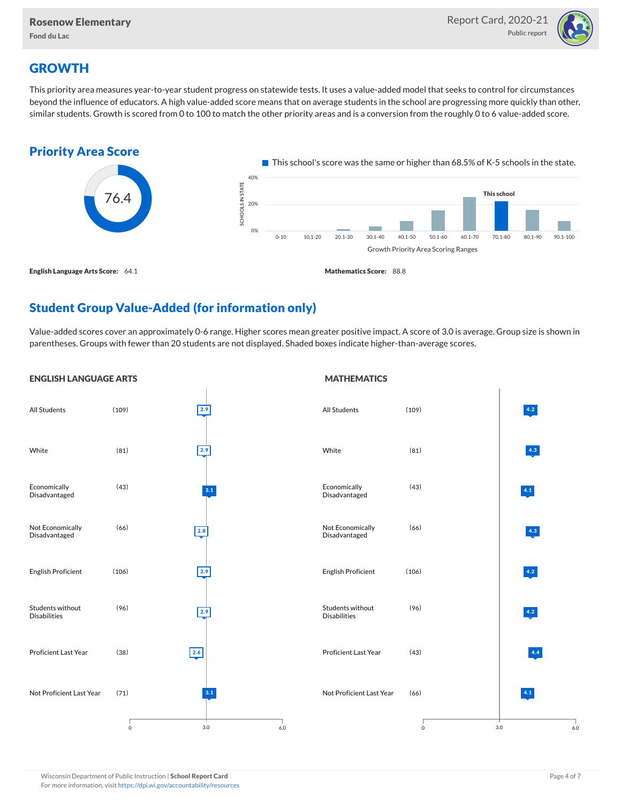

# **GROWTH**

This priority area measures year-to-year student progress on statewide tests. It uses a value-added model that seeks to control for circumstances beyond the influence of educators. A high value-added score means that on average students in the school are progressing more quickly than other, similar students. Growth is scored from 0 to 100 to match the other priority areas and is a conversion from the roughly 0 to 6 value-added score.



# Student Group Value-Added (for information only)

Value-added scores cover an approximately 0-6 range. Higher scores mean greater positive impact. A score of 3.0 is average. Group size is shown in parentheses. Groups with fewer than 20 students are not displayed. Shaded boxes indicate higher-than-average scores.

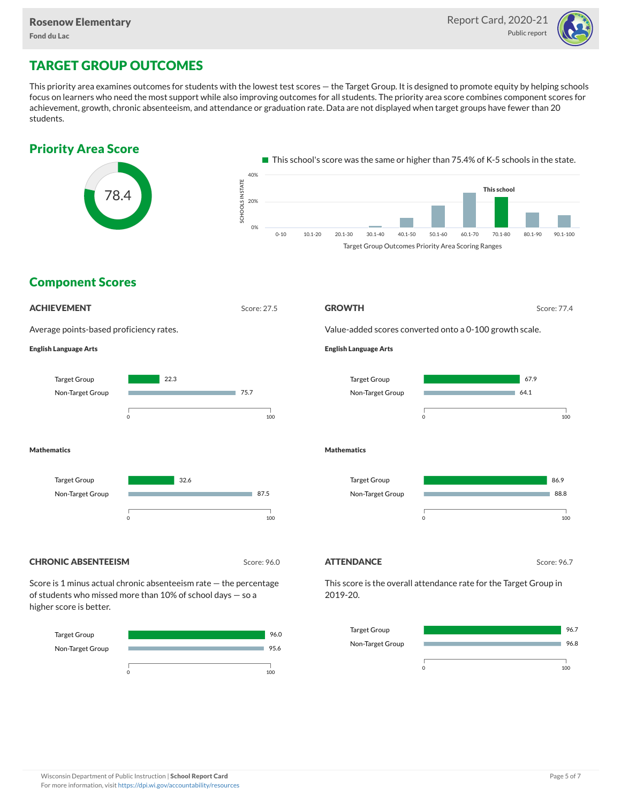

# TARGET GROUP OUTCOMES

This priority area examines outcomes for students with the lowest test scores — the Target Group. It is designed to promote equity by helping schools focus on learners who need the most support while also improving outcomes for all students. The priority area score combines component scores for achievement, growth, chronic absenteeism, and attendance or graduation rate. Data are not displayed when target groups have fewer than 20 students.





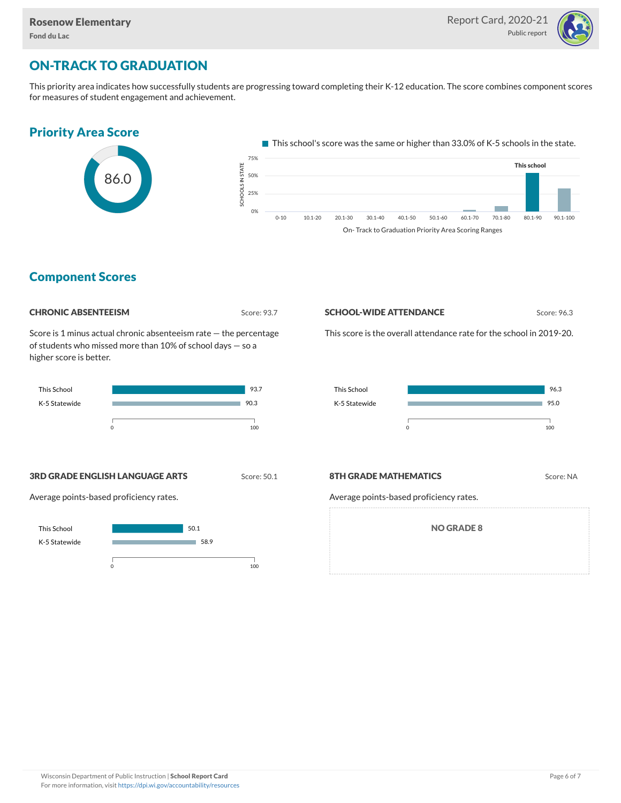

# ON-TRACK TO GRADUATION

This priority area indicates how successfully students are progressing toward completing their K-12 education. The score combines component scores for measures of student engagement and achievement.

## Priority Area Score



This school's score was the same or higher than 33.0% of K-5 schools in the state.



### Component Scores

#### **CHRONIC ABSENTEEISM** Score: 93.7

Score is 1 minus actual chronic absenteeism rate — the percentage of students who missed more than 10% of school days — so a higher score is better.



#### **SCHOOL-WIDE ATTENDANCE** Score: 96.3

This score is the overall attendance rate for the school in 2019-20.



#### **3RD GRADE ENGLISH LANGUAGE ARTS** Score: 50.1

Average points-based proficiency rates.



#### **8TH GRADE MATHEMATICS** Score: NA

Average points-based proficiency rates.

NO GRADE 8